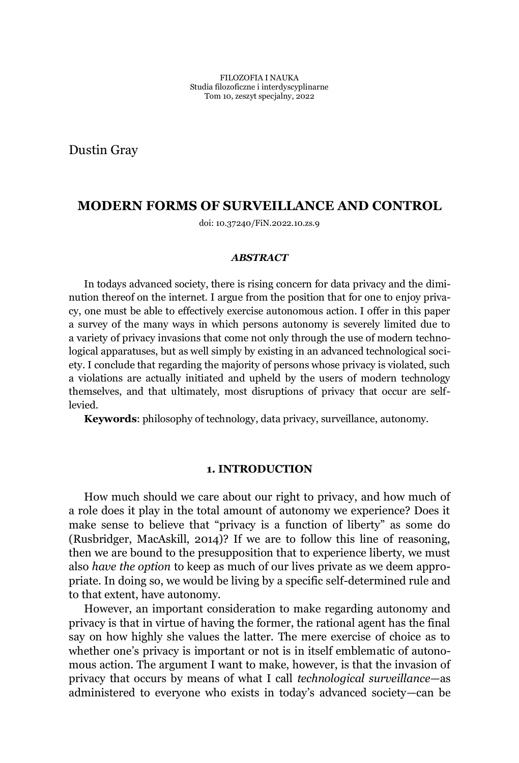Dustin Gray

# **MODERN FORMS OF SURVEILLANCE AND CONTROL**

doi: 10.37240/FiN.2022.10.zs.9

#### *ABSTRACT*

In todays advanced society, there is rising concern for data privacy and the diminution thereof on the internet. I argue from the position that for one to enjoy privacy, one must be able to effectively exercise autonomous action. I offer in this paper a survey of the many ways in which persons autonomy is severely limited due to a variety of privacy invasions that come not only through the use of modern technological apparatuses, but as well simply by existing in an advanced technological society. I conclude that regarding the majority of persons whose privacy is violated, such a violations are actually initiated and upheld by the users of modern technology themselves, and that ultimately, most disruptions of privacy that occur are selflevied.

**Keywords**: philosophy of technology, data privacy, surveillance, autonomy.

## **1. INTRODUCTION**

How much should we care about our right to privacy, and how much of a role does it play in the total amount of autonomy we experience? Does it make sense to believe that "privacy is a function of liberty" as some do (Rusbridger, MacAskill, 2014)? If we are to follow this line of reasoning, then we are bound to the presupposition that to experience liberty, we must also *have the option* to keep as much of our lives private as we deem appropriate. In doing so, we would be living by a specific self-determined rule and to that extent, have autonomy.

However, an important consideration to make regarding autonomy and privacy is that in virtue of having the former, the rational agent has the final say on how highly she values the latter. The mere exercise of choice as to whether one's privacy is important or not is in itself emblematic of autonomous action. The argument I want to make, however, is that the invasion of privacy that occurs by means of what I call *technological surveillance*—as administered to everyone who exists in today's advanced society—can be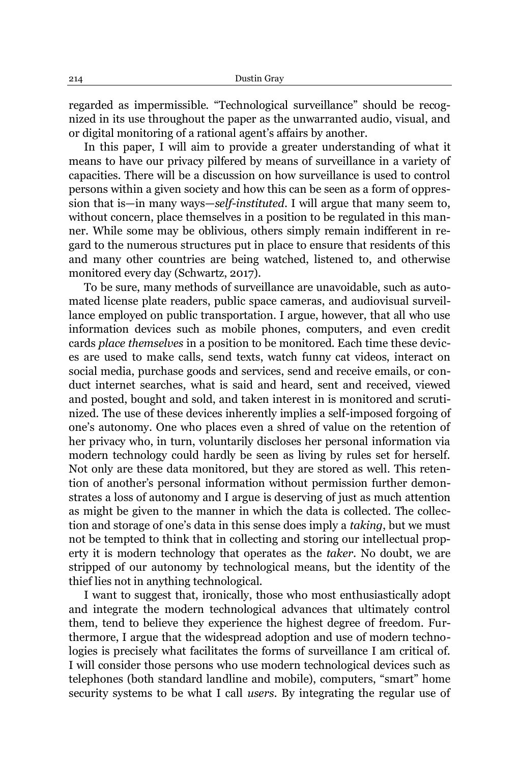regarded as impermissible. "Technological surveillance" should be recognized in its use throughout the paper as the unwarranted audio, visual, and or digital monitoring of a rational agent's affairs by another.

In this paper, I will aim to provide a greater understanding of what it means to have our privacy pilfered by means of surveillance in a variety of capacities. There will be a discussion on how surveillance is used to control persons within a given society and how this can be seen as a form of oppression that is—in many ways—self-instituted. I will argue that many seem to, without concern, place themselves in a position to be regulated in this manner. While some may be oblivious, others simply remain indifferent in regard to the numerous structures put in place to ensure that residents of this and many other countries are being watched, listened to, and otherwise monitored every day (Schwartz, 2017).

To be sure, many methods of surveillance are unavoidable, such as automated license plate readers, public space cameras, and audiovisual surveillance employed on public transportation. I argue, however, that all who use information devices such as mobile phones, computers, and even credit cards *place themselves* in a position to be monitored. Each time these devices are used to make calls, send texts, watch funny cat videos, interact on social media, purchase goods and services, send and receive emails, or conduct internet searches, what is said and heard, sent and received, viewed and posted, bought and sold, and taken interest in is monitored and scrutinized. The use of these devices inherently implies a self-imposed forgoing of one's autonomy. One who places even a shred of value on the retention of her privacy who, in turn, voluntarily discloses her personal information via modern technology could hardly be seen as living by rules set for herself. Not only are these data monitored, but they are stored as well. This retention of another's personal information without permission further demonstrates a loss of autonomy and I argue is deserving of just as much attention as might be given to the manner in which the data is collected. The collection and storage of one's data in this sense does imply a *taking*, but we must not be tempted to think that in collecting and storing our intellectual property it is modern technology that operates as the *taker*. No doubt, we are stripped of our autonomy by technological means, but the identity of the thief lies not in anything technological.

I want to suggest that, ironically, those who most enthusiastically adopt and integrate the modern technological advances that ultimately control them, tend to believe they experience the highest degree of freedom. Furthermore, I argue that the widespread adoption and use of modern technologies is precisely what facilitates the forms of surveillance I am critical of. I will consider those persons who use modern technological devices such as telephones (both standard landline and mobile), computers, "smart" home security systems to be what I call *users*. By integrating the regular use of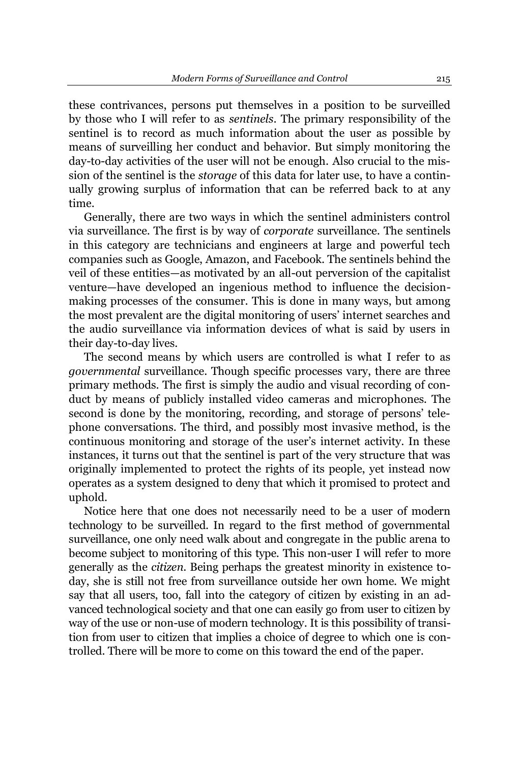these contrivances, persons put themselves in a position to be surveilled by those who I will refer to as *sentinels*. The primary responsibility of the sentinel is to record as much information about the user as possible by means of surveilling her conduct and behavior. But simply monitoring the day-to-day activities of the user will not be enough. Also crucial to the mission of the sentinel is the *storage* of this data for later use, to have a continually growing surplus of information that can be referred back to at any time.

Generally, there are two ways in which the sentinel administers control via surveillance. The first is by way of *corporate* surveillance. The sentinels in this category are technicians and engineers at large and powerful tech companies such as Google, Amazon, and Facebook. The sentinels behind the veil of these entities—as motivated by an all-out perversion of the capitalist venture—have developed an ingenious method to influence the decisionmaking processes of the consumer. This is done in many ways, but among the most prevalent are the digital monitoring of users' internet searches and the audio surveillance via information devices of what is said by users in their day-to-day lives.

The second means by which users are controlled is what I refer to as *governmental* surveillance. Though specific processes vary, there are three primary methods. The first is simply the audio and visual recording of conduct by means of publicly installed video cameras and microphones. The second is done by the monitoring, recording, and storage of persons' telephone conversations. The third, and possibly most invasive method, is the continuous monitoring and storage of the user's internet activity. In these instances, it turns out that the sentinel is part of the very structure that was originally implemented to protect the rights of its people, yet instead now operates as a system designed to deny that which it promised to protect and uphold.

Notice here that one does not necessarily need to be a user of modern technology to be surveilled. In regard to the first method of governmental surveillance, one only need walk about and congregate in the public arena to become subject to monitoring of this type. This non-user I will refer to more generally as the *citizen*. Being perhaps the greatest minority in existence today, she is still not free from surveillance outside her own home. We might say that all users, too, fall into the category of citizen by existing in an advanced technological society and that one can easily go from user to citizen by way of the use or non-use of modern technology. It is this possibility of transition from user to citizen that implies a choice of degree to which one is controlled. There will be more to come on this toward the end of the paper.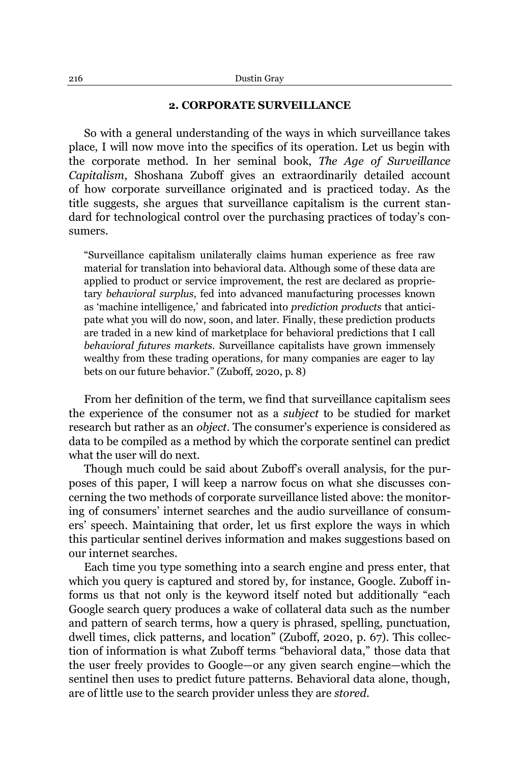## **2. CORPORATE SURVEILLANCE**

So with a general understanding of the ways in which surveillance takes place, I will now move into the specifics of its operation. Let us begin with the corporate method. In her seminal book, *The Age of Surveillance Capitalism*, Shoshana Zuboff gives an extraordinarily detailed account of how corporate surveillance originated and is practiced today. As the title suggests, she argues that surveillance capitalism is the current standard for technological control over the purchasing practices of today's consumers.

³Surveillance capitalism unilaterally claims human experience as free raw material for translation into behavioral data. Although some of these data are applied to product or service improvement, the rest are declared as proprietary *behavioral surplus*, fed into advanced manufacturing processes known as 'machine intelligence,' and fabricated into *prediction products* that anticipate what you will do now, soon, and later. Finally, these prediction products are traded in a new kind of marketplace for behavioral predictions that I call *behavioral futures markets*. Surveillance capitalists have grown immensely wealthy from these trading operations, for many companies are eager to lay bets on our future behavior." (Zuboff, 2020, p. 8)

From her definition of the term, we find that surveillance capitalism sees the experience of the consumer not as a *subject* to be studied for market research but rather as an *object*. The consumer's experience is considered as data to be compiled as a method by which the corporate sentinel can predict what the user will do next.

Though much could be said about Zuboff's overall analysis, for the purposes of this paper, I will keep a narrow focus on what she discusses concerning the two methods of corporate surveillance listed above: the monitoring of consumers' internet searches and the audio surveillance of consumers' speech. Maintaining that order, let us first explore the ways in which this particular sentinel derives information and makes suggestions based on our internet searches.

Each time you type something into a search engine and press enter, that which you query is captured and stored by, for instance, Google. Zuboff informs us that not only is the keyword itself noted but additionally "each Google search query produces a wake of collateral data such as the number and pattern of search terms, how a query is phrased, spelling, punctuation, dwell times, click patterns, and location" (Zuboff, 2020, p. 67). This collection of information is what Zuboff terms "behavioral data," those data that the user freely provides to Google—or any given search engine—which the sentinel then uses to predict future patterns. Behavioral data alone, though, are of little use to the search provider unless they are *stored*.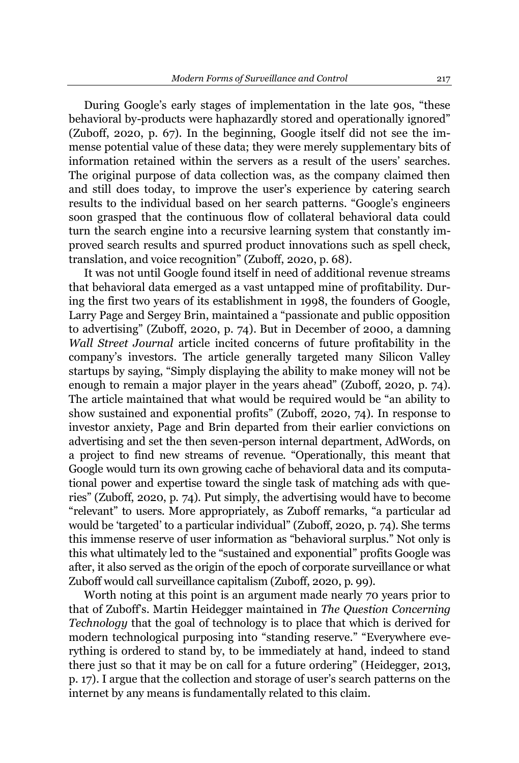During Google's early stages of implementation in the late 90s, "these behavioral by-products were haphazardly stored and operationally ignored" (Zuboff, 2020, p. 67). In the beginning, Google itself did not see the immense potential value of these data; they were merely supplementary bits of information retained within the servers as a result of the users' searches. The original purpose of data collection was, as the company claimed then and still does today, to improve the user's experience by catering search results to the individual based on her search patterns. "Google's engineers soon grasped that the continuous flow of collateral behavioral data could turn the search engine into a recursive learning system that constantly improved search results and spurred product innovations such as spell check, translation, and voice recognition" (Zuboff, 2020, p. 68).

It was not until Google found itself in need of additional revenue streams that behavioral data emerged as a vast untapped mine of profitability. During the first two years of its establishment in 1998, the founders of Google, Larry Page and Sergey Brin, maintained a "passionate and public opposition to advertising" (Zuboff, 2020, p. 74). But in December of 2000, a damning *Wall Street Journal* article incited concerns of future profitability in the company's investors. The article generally targeted many Silicon Valley startups by saying, "Simply displaying the ability to make money will not be enough to remain a major player in the years ahead" (Zuboff, 2020, p. 74). The article maintained that what would be required would be "an ability to show sustained and exponential profits" (Zuboff, 2020, 74). In response to investor anxiety, Page and Brin departed from their earlier convictions on advertising and set the then seven-person internal department, AdWords, on a project to find new streams of revenue. "Operationally, this meant that Google would turn its own growing cache of behavioral data and its computational power and expertise toward the single task of matching ads with queries" (Zuboff, 2020, p. 74). Put simply, the advertising would have to become "relevant" to users. More appropriately, as Zuboff remarks, "a particular ad would be 'targeted' to a particular individual" (Zuboff, 2020, p. 74). She terms this immense reserve of user information as "behavioral surplus." Not only is this what ultimately led to the "sustained and exponential" profits Google was after, it also served as the origin of the epoch of corporate surveillance or what Zuboff would call surveillance capitalism (Zuboff, 2020, p. 99).

Worth noting at this point is an argument made nearly 70 years prior to that of Zuboff's. Martin Heidegger maintained in *The Question Concerning Technology* that the goal of technology is to place that which is derived for modern technological purposing into "standing reserve." "Everywhere everything is ordered to stand by, to be immediately at hand, indeed to stand there just so that it may be on call for a future ordering" (Heidegger, 2013, p. 17). I argue that the collection and storage of user's search patterns on the internet by any means is fundamentally related to this claim.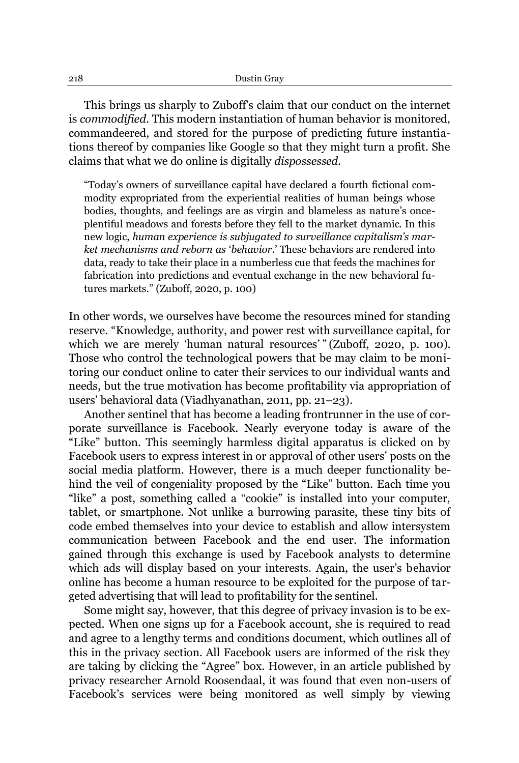This brings us sharply to Zuboff's claim that our conduct on the internet is *commodified*. This modern instantiation of human behavior is monitored, commandeered, and stored for the purpose of predicting future instantiations thereof by companies like Google so that they might turn a profit. She claims that what we do online is digitally *dispossessed*.

"Today's owners of surveillance capital have declared a fourth fictional commodity expropriated from the experiential realities of human beings whose bodies, thoughts, and feelings are as virgin and blameless as nature's onceplentiful meadows and forests before they fell to the market dynamic. In this new logic, human experience is subjugated to surveillance capitalism's mar*ket mechanisms and reborn as 'behavior*'. These behaviors are rendered into data, ready to take their place in a numberless cue that feeds the machines for fabrication into predictions and eventual exchange in the new behavioral futures markets." (Zuboff, 2020, p. 100)

In other words, we ourselves have become the resources mined for standing reserve. "Knowledge, authority, and power rest with surveillance capital, for which we are merely 'human natural resources' "(Zuboff, 2020, p. 100). Those who control the technological powers that be may claim to be monitoring our conduct online to cater their services to our individual wants and needs, but the true motivation has become profitability via appropriation of users' behavioral data (Viadhyanathan, 2011, pp. 21-23).

Another sentinel that has become a leading frontrunner in the use of corporate surveillance is Facebook. Nearly everyone today is aware of the "Like" button. This seemingly harmless digital apparatus is clicked on by Facebook users to express interest in or approval of other users' posts on the social media platform. However, there is a much deeper functionality behind the veil of congeniality proposed by the "Like" button. Each time you "like" a post, something called a "cookie" is installed into your computer, tablet, or smartphone. Not unlike a burrowing parasite, these tiny bits of code embed themselves into your device to establish and allow intersystem communication between Facebook and the end user. The information gained through this exchange is used by Facebook analysts to determine which ads will display based on your interests. Again, the user's behavior online has become a human resource to be exploited for the purpose of targeted advertising that will lead to profitability for the sentinel.

Some might say, however, that this degree of privacy invasion is to be expected. When one signs up for a Facebook account, she is required to read and agree to a lengthy terms and conditions document, which outlines all of this in the privacy section. All Facebook users are informed of the risk they are taking by clicking the "Agree" box. However, in an article published by privacy researcher Arnold Roosendaal, it was found that even non-users of Facebook's services were being monitored as well simply by viewing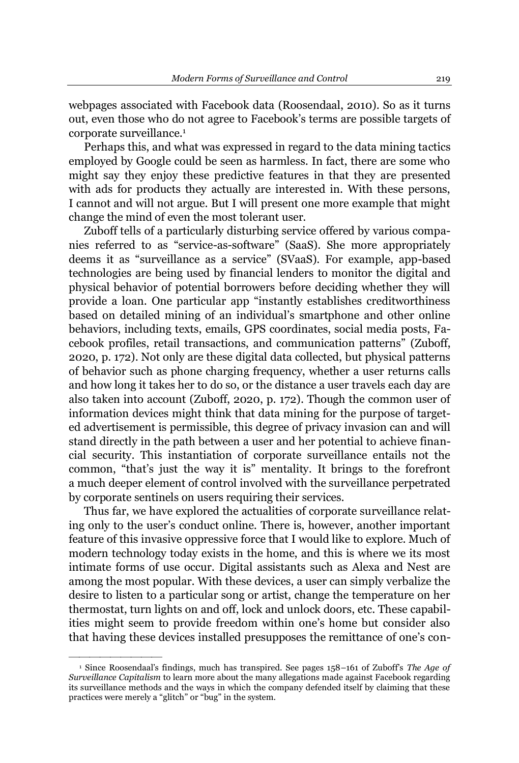webpages associated with Facebook data (Roosendaal, 2010). So as it turns out, even those who do not agree to Facebook's terms are possible targets of corporate surveillance.1

Perhaps this, and what was expressed in regard to the data mining tactics employed by Google could be seen as harmless. In fact, there are some who might say they enjoy these predictive features in that they are presented with ads for products they actually are interested in. With these persons, I cannot and will not argue. But I will present one more example that might change the mind of even the most tolerant user.

Zuboff tells of a particularly disturbing service offered by various companies referred to as "service-as-software" (SaaS). She more appropriately deems it as "surveillance as a service" (SVaaS). For example, app-based technologies are being used by financial lenders to monitor the digital and physical behavior of potential borrowers before deciding whether they will provide a loan. One particular app "instantly establishes creditworthiness based on detailed mining of an individual's smartphone and other online behaviors, including texts, emails, GPS coordinates, social media posts, Facebook profiles, retail transactions, and communication patterns" (Zuboff, 2020, p. 172). Not only are these digital data collected, but physical patterns of behavior such as phone charging frequency, whether a user returns calls and how long it takes her to do so, or the distance a user travels each day are also taken into account (Zuboff, 2020, p. 172). Though the common user of information devices might think that data mining for the purpose of targeted advertisement is permissible, this degree of privacy invasion can and will stand directly in the path between a user and her potential to achieve financial security. This instantiation of corporate surveillance entails not the common, "that's just the way it is" mentality. It brings to the forefront a much deeper element of control involved with the surveillance perpetrated by corporate sentinels on users requiring their services.

Thus far, we have explored the actualities of corporate surveillance relating only to the user's conduct online. There is, however, another important feature of this invasive oppressive force that I would like to explore. Much of modern technology today exists in the home, and this is where we its most intimate forms of use occur. Digital assistants such as Alexa and Nest are among the most popular. With these devices, a user can simply verbalize the desire to listen to a particular song or artist, change the temperature on her thermostat, turn lights on and off, lock and unlock doors, etc. These capabilities might seem to provide freedom within one's home but consider also that having these devices installed presupposes the remittance of one's con-

²²²²²²²²²

<sup>&</sup>lt;sup>1</sup> Since Roosendaal's findings, much has transpired. See pages 158-161 of Zuboff's The Age of *Surveillance Capitalism* to learn more about the many allegations made against Facebook regarding its surveillance methods and the ways in which the company defended itself by claiming that these practices were merely a "glitch" or "bug" in the system.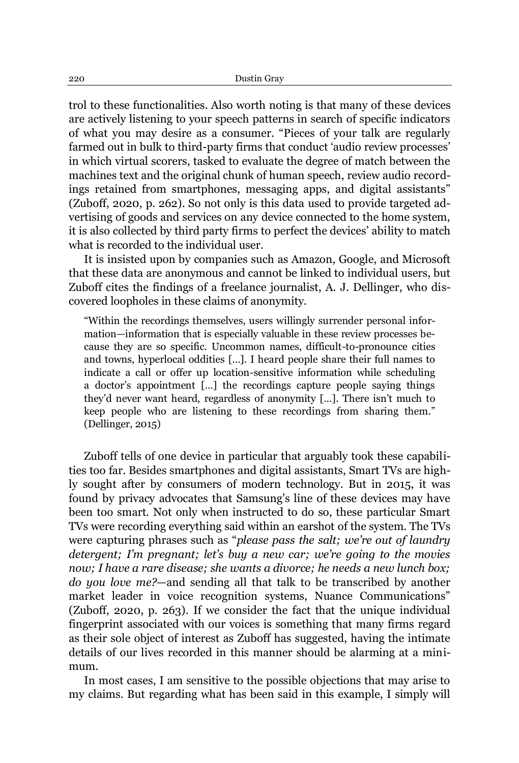trol to these functionalities. Also worth noting is that many of these devices are actively listening to your speech patterns in search of specific indicators of what you may desire as a consumer. "Pieces of your talk are regularly farmed out in bulk to third-party firms that conduct 'audio review processes' in which virtual scorers, tasked to evaluate the degree of match between the machines text and the original chunk of human speech, review audio recordings retained from smartphones, messaging apps, and digital assistants" (Zuboff, 2020, p. 262). So not only is this data used to provide targeted advertising of goods and services on any device connected to the home system, it is also collected by third party firms to perfect the devices' ability to match what is recorded to the individual user.

It is insisted upon by companies such as Amazon, Google, and Microsoft that these data are anonymous and cannot be linked to individual users, but Zuboff cites the findings of a freelance journalist, A. J. Dellinger, who discovered loopholes in these claims of anonymity.

³Within the recordings themselves, users willingly surrender personal information—information that is especially valuable in these review processes because they are so specific. Uncommon names, difficult-to-pronounce cities and towns, hyperlocal oddities [...]. I heard people share their full names to indicate a call or offer up location-sensitive information while scheduling a doctor's appointment [...] the recordings capture people saying things they'd never want heard, regardless of anonymity [...]. There isn't much to keep people who are listening to these recordings from sharing them." (Dellinger, 2015)

Zuboff tells of one device in particular that arguably took these capabilities too far. Besides smartphones and digital assistants, Smart TVs are highly sought after by consumers of modern technology. But in 2015, it was found by privacy advocates that Samsung's line of these devices may have been too smart. Not only when instructed to do so, these particular Smart TVs were recording everything said within an earshot of the system. The TVs were capturing phrases such as "*please pass the salt; we're out of laundry detergent; I'm pregnant; let's buy a new car; we're going to the movies now; I have a rare disease; she wants a divorce; he needs a new lunch box; do you love me?*—and sending all that talk to be transcribed by another market leader in voice recognition systems. Nuance Communications" (Zuboff, 2020, p. 263). If we consider the fact that the unique individual fingerprint associated with our voices is something that many firms regard as their sole object of interest as Zuboff has suggested, having the intimate details of our lives recorded in this manner should be alarming at a minimum.

In most cases, I am sensitive to the possible objections that may arise to my claims. But regarding what has been said in this example, I simply will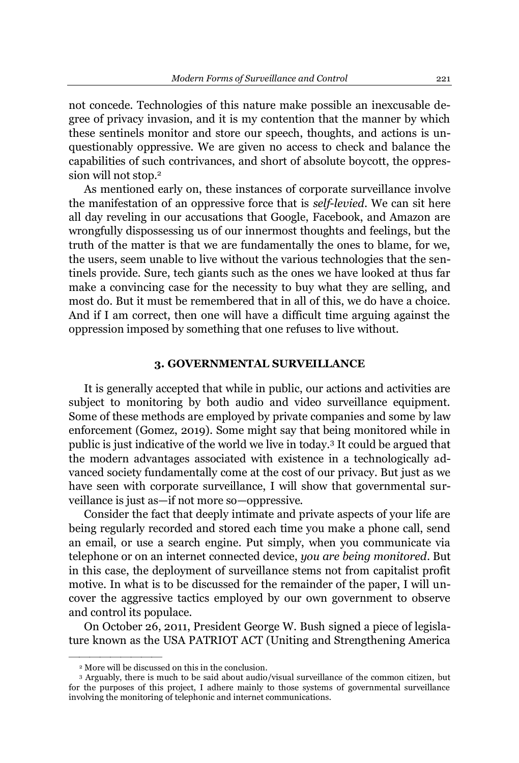not concede. Technologies of this nature make possible an inexcusable degree of privacy invasion, and it is my contention that the manner by which these sentinels monitor and store our speech, thoughts, and actions is unquestionably oppressive. We are given no access to check and balance the capabilities of such contrivances, and short of absolute boycott, the oppression will not stop.<sup>2</sup>

As mentioned early on, these instances of corporate surveillance involve the manifestation of an oppressive force that is *self-levied*. We can sit here all day reveling in our accusations that Google, Facebook, and Amazon are wrongfully dispossessing us of our innermost thoughts and feelings, but the truth of the matter is that we are fundamentally the ones to blame, for we, the users, seem unable to live without the various technologies that the sentinels provide. Sure, tech giants such as the ones we have looked at thus far make a convincing case for the necessity to buy what they are selling, and most do. But it must be remembered that in all of this, we do have a choice. And if I am correct, then one will have a difficult time arguing against the oppression imposed by something that one refuses to live without.

#### **3. GOVERNMENTAL SURVEILLANCE**

It is generally accepted that while in public, our actions and activities are subject to monitoring by both audio and video surveillance equipment. Some of these methods are employed by private companies and some by law enforcement (Gomez, 2019). Some might say that being monitored while in public is just indicative of the world we live in today.3 It could be argued that the modern advantages associated with existence in a technologically advanced society fundamentally come at the cost of our privacy. But just as we have seen with corporate surveillance, I will show that governmental surveillance is just as—if not more so—oppressive.

Consider the fact that deeply intimate and private aspects of your life are being regularly recorded and stored each time you make a phone call, send an email, or use a search engine. Put simply, when you communicate via telephone or on an internet connected device, *you are being monitored*. But in this case, the deployment of surveillance stems not from capitalist profit motive. In what is to be discussed for the remainder of the paper, I will uncover the aggressive tactics employed by our own government to observe and control its populace.

On October 26, 2011, President George W. Bush signed a piece of legislature known as the USA PATRIOT ACT (Uniting and Strengthening America

²²²²²²²²²

<sup>2</sup> More will be discussed on this in the conclusion.

<sup>3</sup> Arguably, there is much to be said about audio/visual surveillance of the common citizen, but for the purposes of this project, I adhere mainly to those systems of governmental surveillance involving the monitoring of telephonic and internet communications.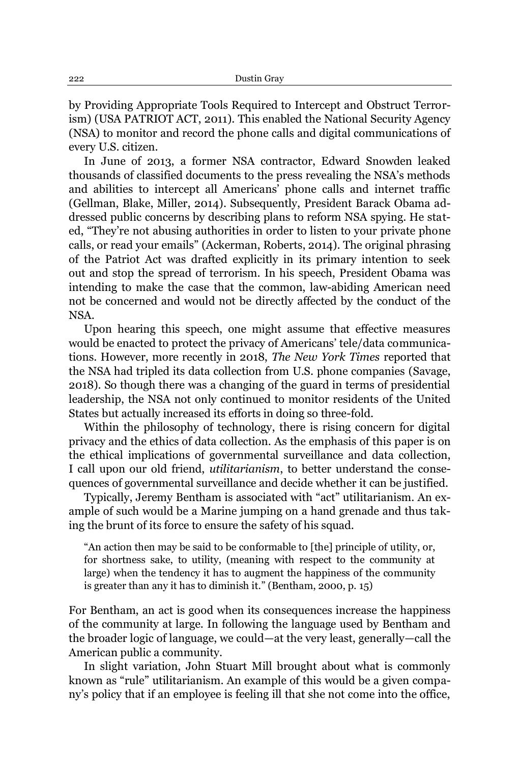by Providing Appropriate Tools Required to Intercept and Obstruct Terrorism) (USA PATRIOT ACT, 2011). This enabled the National Security Agency (NSA) to monitor and record the phone calls and digital communications of every U.S. citizen.

In June of 2013, a former NSA contractor, Edward Snowden leaked thousands of classified documents to the press revealing the NSA's methods and abilities to intercept all Americans' phone calls and internet traffic (Gellman, Blake, Miller, 2014). Subsequently, President Barack Obama addressed public concerns by describing plans to reform NSA spying. He stated, "They're not abusing authorities in order to listen to your private phone calls, or read your emails" (Ackerman, Roberts, 2014). The original phrasing of the Patriot Act was drafted explicitly in its primary intention to seek out and stop the spread of terrorism. In his speech, President Obama was intending to make the case that the common, law-abiding American need not be concerned and would not be directly affected by the conduct of the NSA.

Upon hearing this speech, one might assume that effective measures would be enacted to protect the privacy of Americans' tele/data communications. However, more recently in 2018, *The New York Times* reported that the NSA had tripled its data collection from U.S. phone companies (Savage, 2018). So though there was a changing of the guard in terms of presidential leadership, the NSA not only continued to monitor residents of the United States but actually increased its efforts in doing so three-fold.

Within the philosophy of technology, there is rising concern for digital privacy and the ethics of data collection. As the emphasis of this paper is on the ethical implications of governmental surveillance and data collection, I call upon our old friend, *utilitarianism*, to better understand the consequences of governmental surveillance and decide whether it can be justified.

Typically, Jeremy Bentham is associated with "act" utilitarianism. An example of such would be a Marine jumping on a hand grenade and thus taking the brunt of its force to ensure the safety of his squad.

³An action then may be said to be conformable to [the] principle of utility, or, for shortness sake, to utility, (meaning with respect to the community at large) when the tendency it has to augment the happiness of the community is greater than any it has to diminish it." (Bentham, 2000, p. 15)

For Bentham, an act is good when its consequences increase the happiness of the community at large. In following the language used by Bentham and the broader logic of language, we could—at the very least, generally—call the American public a community.

In slight variation, John Stuart Mill brought about what is commonly known as "rule" utilitarianism. An example of this would be a given company's policy that if an employee is feeling ill that she not come into the office,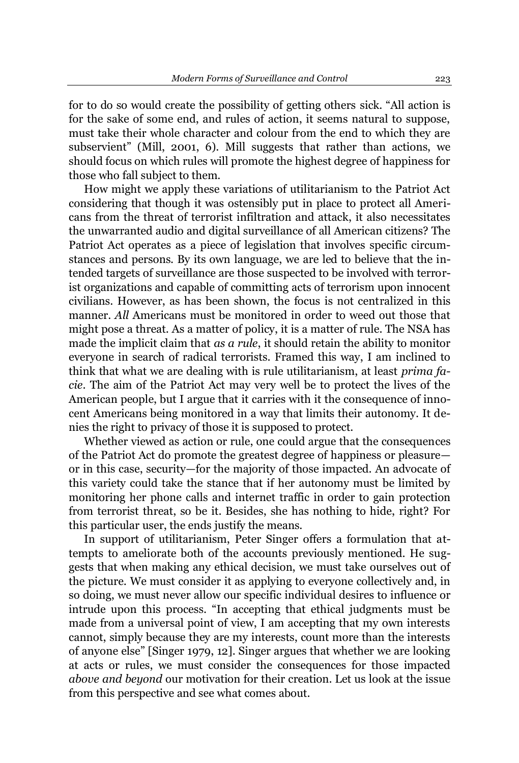for to do so would create the possibility of getting others sick. "All action is for the sake of some end, and rules of action, it seems natural to suppose, must take their whole character and colour from the end to which they are subservient" (Mill, 2001, 6). Mill suggests that rather than actions, we should focus on which rules will promote the highest degree of happiness for those who fall subject to them.

How might we apply these variations of utilitarianism to the Patriot Act considering that though it was ostensibly put in place to protect all Americans from the threat of terrorist infiltration and attack, it also necessitates the unwarranted audio and digital surveillance of all American citizens? The Patriot Act operates as a piece of legislation that involves specific circumstances and persons. By its own language, we are led to believe that the intended targets of surveillance are those suspected to be involved with terrorist organizations and capable of committing acts of terrorism upon innocent civilians. However, as has been shown, the focus is not centralized in this manner. *All* Americans must be monitored in order to weed out those that might pose a threat. As a matter of policy, it is a matter of rule. The NSA has made the implicit claim that *as a rule*, it should retain the ability to monitor everyone in search of radical terrorists. Framed this way, I am inclined to think that what we are dealing with is rule utilitarianism, at least *prima facie*. The aim of the Patriot Act may very well be to protect the lives of the American people, but I argue that it carries with it the consequence of innocent Americans being monitored in a way that limits their autonomy. It denies the right to privacy of those it is supposed to protect.

Whether viewed as action or rule, one could argue that the consequences of the Patriot Act do promote the greatest degree of happiness or pleasure or in this case, security—for the majority of those impacted. An advocate of this variety could take the stance that if her autonomy must be limited by monitoring her phone calls and internet traffic in order to gain protection from terrorist threat, so be it. Besides, she has nothing to hide, right? For this particular user, the ends justify the means.

In support of utilitarianism, Peter Singer offers a formulation that attempts to ameliorate both of the accounts previously mentioned. He suggests that when making any ethical decision, we must take ourselves out of the picture. We must consider it as applying to everyone collectively and, in so doing, we must never allow our specific individual desires to influence or intrude upon this process. "In accepting that ethical judgments must be made from a universal point of view, I am accepting that my own interests cannot, simply because they are my interests, count more than the interests of anyone else" [Singer 1979, 12]. Singer argues that whether we are looking at acts or rules, we must consider the consequences for those impacted *above and beyond* our motivation for their creation. Let us look at the issue from this perspective and see what comes about.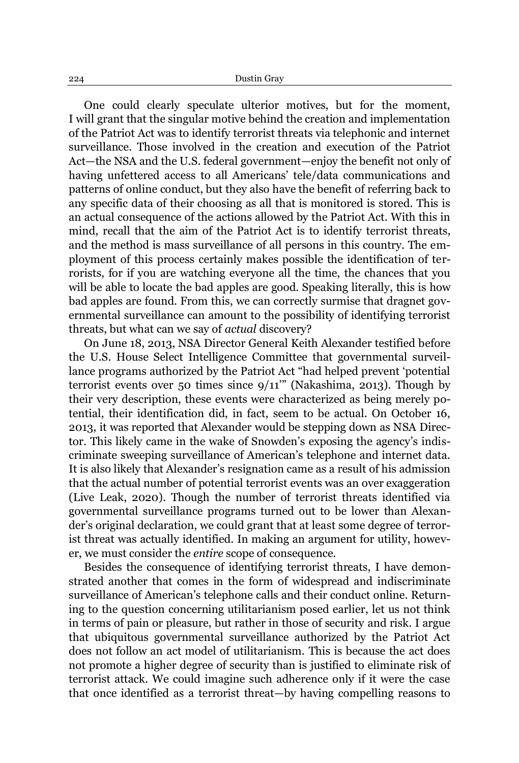One could clearly speculate ulterior motives, but for the moment, I will grant that the singular motive behind the creation and implementation of the Patriot Act was to identify terrorist threats via telephonic and internet surveillance. Those involved in the creation and execution of the Patriot Act—the NSA and the U.S. federal government—enjoy the benefit not only of having unfettered access to all Americans' tele/data communications and patterns of online conduct, but they also have the benefit of referring back to any specific data of their choosing as all that is monitored is stored. This is an actual consequence of the actions allowed by the Patriot Act. With this in mind, recall that the aim of the Patriot Act is to identify terrorist threats, and the method is mass surveillance of all persons in this country. The employment of this process certainly makes possible the identification of terrorists, for if you are watching everyone all the time, the chances that you will be able to locate the bad apples are good. Speaking literally, this is how bad apples are found. From this, we can correctly surmise that dragnet governmental surveillance can amount to the possibility of identifying terrorist threats, but what can we say of *actual* discovery?

On June 18, 2013, NSA Director General Keith Alexander testified before the U.S. House Select Intelligence Committee that governmental surveillance programs authorized by the Patriot Act "had helped prevent 'potential terrorist events over 50 times since  $9/11$ <sup>""</sup> (Nakashima, 2013). Though by their very description, these events were characterized as being merely potential, their identification did, in fact, seem to be actual. On October 16, 2013, it was reported that Alexander would be stepping down as NSA Director. This likely came in the wake of Snowden's exposing the agency's indiscriminate sweeping surveillance of American's telephone and internet data. It is also likely that Alexander's resignation came as a result of his admission that the actual number of potential terrorist events was an over exaggeration (Live Leak, 2020). Though the number of terrorist threats identified via governmental surveillance programs turned out to be lower than Alexander's original declaration, we could grant that at least some degree of terrorist threat was actually identified. In making an argument for utility, however, we must consider the *entire* scope of consequence.

Besides the consequence of identifying terrorist threats, I have demonstrated another that comes in the form of widespread and indiscriminate surveillance of American's telephone calls and their conduct online. Returning to the question concerning utilitarianism posed earlier, let us not think in terms of pain or pleasure, but rather in those of security and risk. I argue that ubiquitous governmental surveillance authorized by the Patriot Act does not follow an act model of utilitarianism. This is because the act does not promote a higher degree of security than is justified to eliminate risk of terrorist attack. We could imagine such adherence only if it were the case that once identified as a terrorist threat—by having compelling reasons to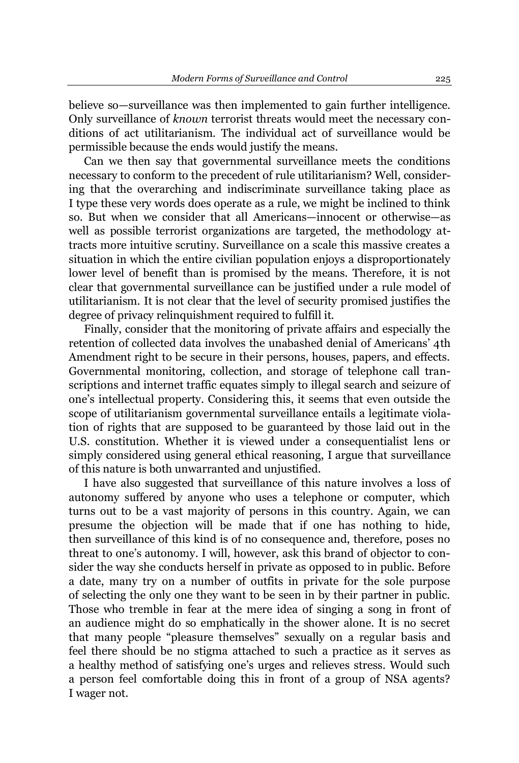believe so—surveillance was then implemented to gain further intelligence. Only surveillance of *known* terrorist threats would meet the necessary conditions of act utilitarianism. The individual act of surveillance would be permissible because the ends would justify the means.

Can we then say that governmental surveillance meets the conditions necessary to conform to the precedent of rule utilitarianism? Well, considering that the overarching and indiscriminate surveillance taking place as I type these very words does operate as a rule, we might be inclined to think so. But when we consider that all Americans—innocent or otherwise—as well as possible terrorist organizations are targeted, the methodology attracts more intuitive scrutiny. Surveillance on a scale this massive creates a situation in which the entire civilian population enjoys a disproportionately lower level of benefit than is promised by the means. Therefore, it is not clear that governmental surveillance can be justified under a rule model of utilitarianism. It is not clear that the level of security promised justifies the degree of privacy relinquishment required to fulfill it.

Finally, consider that the monitoring of private affairs and especially the retention of collected data involves the unabashed denial of Americans' 4th Amendment right to be secure in their persons, houses, papers, and effects. Governmental monitoring, collection, and storage of telephone call transcriptions and internet traffic equates simply to illegal search and seizure of one's intellectual property. Considering this, it seems that even outside the scope of utilitarianism governmental surveillance entails a legitimate violation of rights that are supposed to be guaranteed by those laid out in the U.S. constitution. Whether it is viewed under a consequentialist lens or simply considered using general ethical reasoning, I argue that surveillance of this nature is both unwarranted and unjustified.

I have also suggested that surveillance of this nature involves a loss of autonomy suffered by anyone who uses a telephone or computer, which turns out to be a vast majority of persons in this country. Again, we can presume the objection will be made that if one has nothing to hide, then surveillance of this kind is of no consequence and, therefore, poses no threat to one's autonomy. I will, however, ask this brand of objector to consider the way she conducts herself in private as opposed to in public. Before a date, many try on a number of outfits in private for the sole purpose of selecting the only one they want to be seen in by their partner in public. Those who tremble in fear at the mere idea of singing a song in front of an audience might do so emphatically in the shower alone. It is no secret that many people "pleasure themselves" sexually on a regular basis and feel there should be no stigma attached to such a practice as it serves as a healthy method of satisfying one's urges and relieves stress. Would such a person feel comfortable doing this in front of a group of NSA agents? I wager not.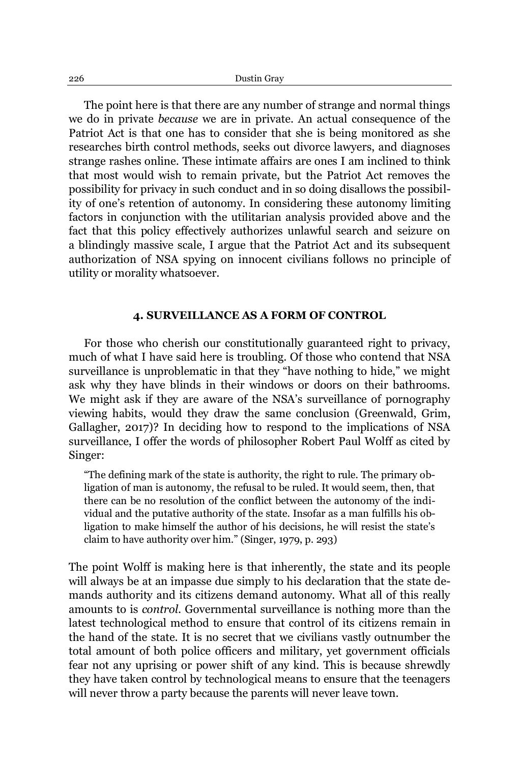The point here is that there are any number of strange and normal things we do in private *because* we are in private. An actual consequence of the Patriot Act is that one has to consider that she is being monitored as she researches birth control methods, seeks out divorce lawyers, and diagnoses strange rashes online. These intimate affairs are ones I am inclined to think that most would wish to remain private, but the Patriot Act removes the possibility for privacy in such conduct and in so doing disallows the possibility of one's retention of autonomy. In considering these autonomy limiting factors in conjunction with the utilitarian analysis provided above and the fact that this policy effectively authorizes unlawful search and seizure on a blindingly massive scale, I argue that the Patriot Act and its subsequent authorization of NSA spying on innocent civilians follows no principle of utility or morality whatsoever.

## **4. SURVEILLANCE AS A FORM OF CONTROL**

For those who cherish our constitutionally guaranteed right to privacy, much of what I have said here is troubling. Of those who contend that NSA surveillance is unproblematic in that they "have nothing to hide," we might ask why they have blinds in their windows or doors on their bathrooms. We might ask if they are aware of the NSA's surveillance of pornography viewing habits, would they draw the same conclusion (Greenwald, Grim, Gallagher, 2017)? In deciding how to respond to the implications of NSA surveillance, I offer the words of philosopher Robert Paul Wolff as cited by Singer:

³The defining mark of the state is authority, the right to rule. The primary obligation of man is autonomy, the refusal to be ruled. It would seem, then, that there can be no resolution of the conflict between the autonomy of the individual and the putative authority of the state. Insofar as a man fulfills his obligation to make himself the author of his decisions, he will resist the state's claim to have authority over him." (Singer, 1979, p. 293)

The point Wolff is making here is that inherently, the state and its people will always be at an impasse due simply to his declaration that the state demands authority and its citizens demand autonomy. What all of this really amounts to is *control*. Governmental surveillance is nothing more than the latest technological method to ensure that control of its citizens remain in the hand of the state. It is no secret that we civilians vastly outnumber the total amount of both police officers and military, yet government officials fear not any uprising or power shift of any kind. This is because shrewdly they have taken control by technological means to ensure that the teenagers will never throw a party because the parents will never leave town.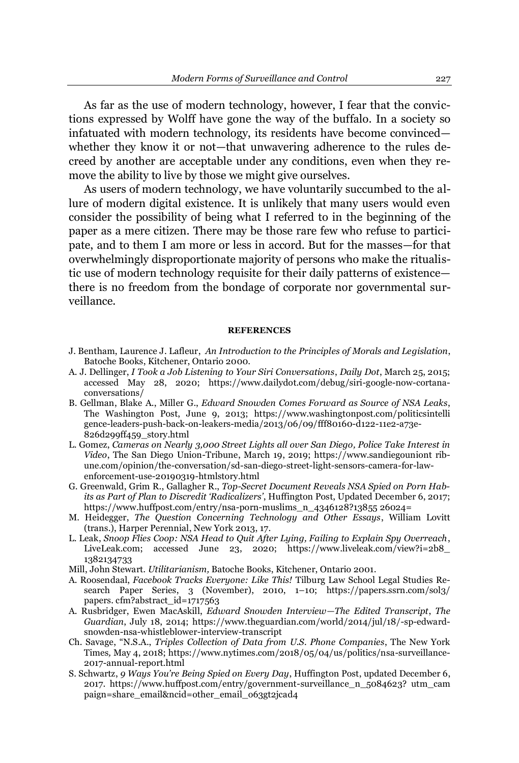As far as the use of modern technology, however, I fear that the convictions expressed by Wolff have gone the way of the buffalo. In a society so infatuated with modern technology, its residents have become convinced whether they know it or not—that unwavering adherence to the rules decreed by another are acceptable under any conditions, even when they remove the ability to live by those we might give ourselves.

As users of modern technology, we have voluntarily succumbed to the allure of modern digital existence. It is unlikely that many users would even consider the possibility of being what I referred to in the beginning of the paper as a mere citizen. There may be those rare few who refuse to participate, and to them I am more or less in accord. But for the masses—for that overwhelmingly disproportionate majority of persons who make the ritualistic use of modern technology requisite for their daily patterns of existence there is no freedom from the bondage of corporate nor governmental surveillance.

#### **REFERENCES**

- J. Bentham, Laurence J. Lafleur, *An Introduction to the Principles of Morals and Legislation*, Batoche Books, Kitchener, Ontario 2000.
- A. J. Dellinger, *I Took a Job Listening to Your Siri Conversations*, *Daily Dot*, March 25, 2015; accessed May 28, 2020; [https://www.dailydot.com/debug/siri-google-now-cortana](https://www.dailydot.com/debug/siri-google-now-cortana-conversations/)[conversations/](https://www.dailydot.com/debug/siri-google-now-cortana-conversations/)
- B. Gellman, Blake A., Miller G., *Edward Snowden Comes Forward as Source of NSA Leaks*, The Washington Post, June 9, 2013; https://www.washingtonpost.com/politicsintelli gence-leaders-push-back-on-leakers-media/2013/06/09/fff80160-d122-11e2-a73e-826d299ff459\_story.html
- L. Gomez, *Cameras on Nearly 3,000 Street Lights all over San Diego, Police Take Interest in Video*, The San Diego Union-Tribune, March 19, 2019; [https://www.sandiegouniont](https://www.sandiegouniontribune.com/opinion/the-conversation/sd-san-diego-street-light-sensors-camera-for-law-enforcement-use-20190319-htmlstory.html) rib[une.com/opinion/the-conversation/sd-san-diego-street-light-sensors-camera-for-law](https://www.sandiegouniontribune.com/opinion/the-conversation/sd-san-diego-street-light-sensors-camera-for-law-enforcement-use-20190319-htmlstory.html)[enforcement-use-20190319-htmlstory.html](https://www.sandiegouniontribune.com/opinion/the-conversation/sd-san-diego-street-light-sensors-camera-for-law-enforcement-use-20190319-htmlstory.html)
- G. Greenwald, Grim R., Gallagher R., *Top-Secret Document Reveals NSA Spied on Porn Habits as Part of Plan to Discredit 'Radicalizers'*, Huffington Post, Updated December 6, 2017; https://www.huffpost.com/entry/nsa-porn-muslims\_n\_4346128?13855 26024=
- M. Heidegger, *The Question Concerning Technology and Other Essays*, William Lovitt (trans.), Harper Perennial, New York 2013, 17.
- L. Leak, *Snoop Flies Coop: NSA Head to Quit After Lying, Failing to Explain Spy Overreach*, LiveLeak.com; accessed June 23, 2020; https://www.liveleak.com/view?i=2b8 1382134733
- Mill, John Stewart. *Utilitarianism,* Batoche Books, Kitchener, Ontario 2001.
- A. Roosendaal, *Facebook Tracks Everyone: Like This!* Tilburg Law School Legal Studies Research Paper Series, 3 (November), 2010, 1-10; https://papers.ssrn.com/sol3/ papers. cfm?abstract\_id=1717563
- A. Rusbridger, Ewen MacAskill, *Edward Snowden Interview-The Edited Transcript*, *The Guardian*, July 18, 2014; [https://www.theguardian.com/world/2014/jul/18/-sp-edward](https://www.theguardian.com/world/2014/jul/18/-sp-edward-snowden-nsa-whistleblower-interview-transcript)[snowden-nsa-whistleblower-interview-transcript](https://www.theguardian.com/world/2014/jul/18/-sp-edward-snowden-nsa-whistleblower-interview-transcript)
- Ch. Savage, "N.S.A., *Triples Collection of Data from U.S. Phone Companies*, The New York Times*,* May 4, 2018[; https://www.nytimes.com/2018/05/04/us/politics/nsa-surveillance-](https://www.nytimes.com/2018/05/04/us/politics/nsa-surveillance-2017-annual-report.html)[2017-annual-report.html](https://www.nytimes.com/2018/05/04/us/politics/nsa-surveillance-2017-annual-report.html)
- S. Schwartz, 9 Ways You're Being Spied on Every Day, Huffington Post, updated December 6, 2017. [https://www.huffpost.com/entry/government-surveillance\\_n\\_5084623?](https://www.huffpost.com/entry/government-surveillance_n_5084623?utm_campaign=share_email&ncid=other_email_o63gt2jcad4) utm\_cam [paign=share\\_email&ncid=other\\_email\\_o63gt2jcad4](https://www.huffpost.com/entry/government-surveillance_n_5084623?utm_campaign=share_email&ncid=other_email_o63gt2jcad4)